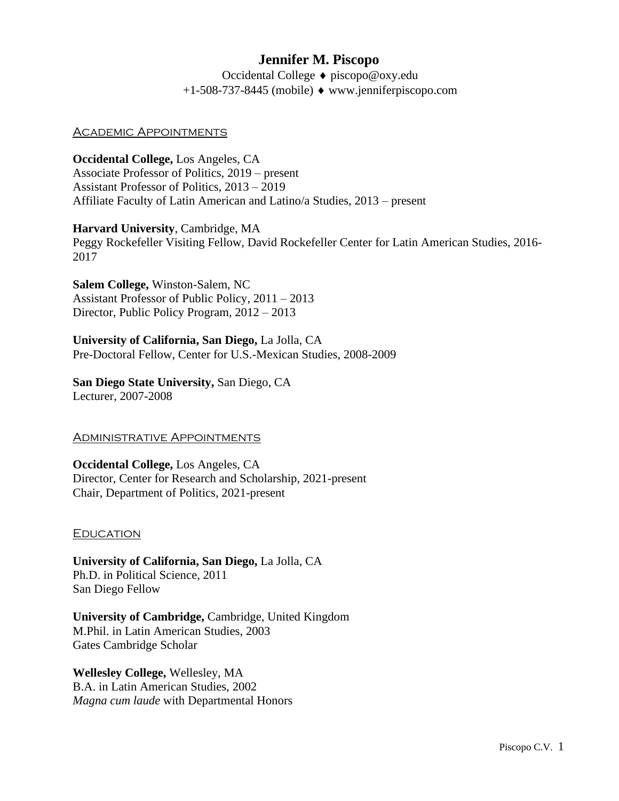# **Jennifer M. Piscopo**

Occidental College ♦ piscopo@oxy.edu  $+1-508-737-8445$  (mobile)  $\bullet$  www.jenniferpiscopo.com

## Academic Appointments

**Occidental College,** Los Angeles, CA Associate Professor of Politics, 2019 – present Assistant Professor of Politics, 2013 – 2019 Affiliate Faculty of Latin American and Latino/a Studies, 2013 – present

# **Harvard University**, Cambridge, MA

Peggy Rockefeller Visiting Fellow, David Rockefeller Center for Latin American Studies, 2016- 2017

**Salem College,** Winston-Salem, NC Assistant Professor of Public Policy, 2011 – 2013 Director, Public Policy Program, 2012 – 2013

**University of California, San Diego,** La Jolla, CA Pre-Doctoral Fellow, Center for U.S.-Mexican Studies, 2008-2009

### **San Diego State University,** San Diego, CA Lecturer, 2007-2008

## **ADMINISTRATIVE APPOINTMENTS**

**Occidental College,** Los Angeles, CA Director, Center for Research and Scholarship, 2021-present Chair, Department of Politics, 2021-present

#### **EDUCATION**

**University of California, San Diego,** La Jolla, CA Ph.D. in Political Science, 2011 San Diego Fellow

**University of Cambridge,** Cambridge, United Kingdom M.Phil. in Latin American Studies, 2003 Gates Cambridge Scholar

**Wellesley College,** Wellesley, MA B.A. in Latin American Studies, 2002 *Magna cum laude* with Departmental Honors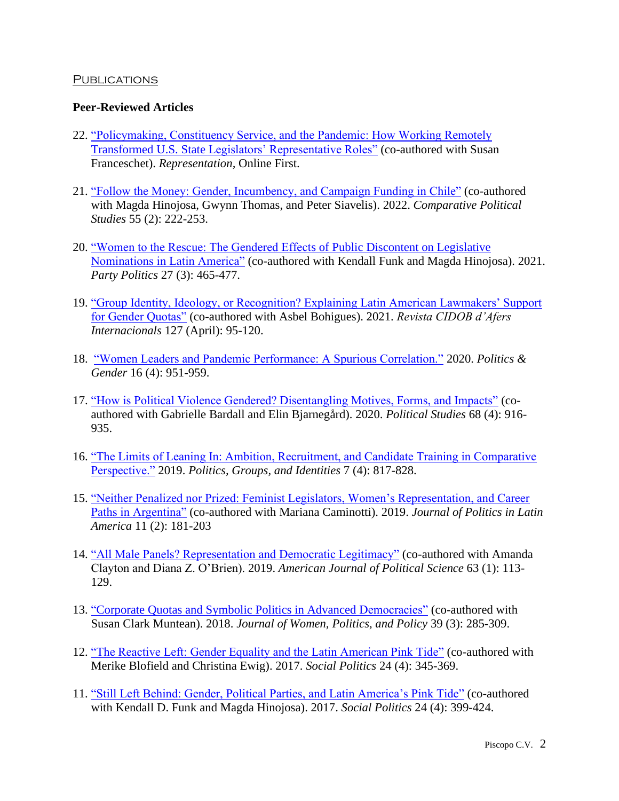### **PUBLICATIONS**

### **Peer-Reviewed Articles**

- 22. ["Policymaking, Constituency Service, and the Pandemic: How Working Remotely](https://doi.org/10.1080/00344893.2022.2034661)  [Transformed U.S. State Legislators' Representative Roles"](https://doi.org/10.1080/00344893.2022.2034661) (co-authored with Susan Franceschet). *Representation,* Online First.
- 21. ["Follow the Money: Gender, Incumbency, and Campaign Funding in Chile"](https://journals.sagepub.com/doi/10.1177/00104140211024300) (co-authored with Magda Hinojosa, Gwynn Thomas, and Peter Siavelis). 2022. *Comparative Political Studies* 55 (2): 222-253.
- 20. ["Women to the Rescue: The Gendered Effects of Public Discontent on Legislative](https://journals.sagepub.com/doi/abs/10.1177/1354068819856614.)  [Nominations in Latin America"](https://journals.sagepub.com/doi/abs/10.1177/1354068819856614.) (co-authored with Kendall Funk and Magda Hinojosa). 2021. *Party Politics* 27 (3): 465-477.
- 19. ["Group Identity, Ideology, or Recognition? Explaining Latin American Lawmakers' Support](https://www.cidob.org/es/articulos/revista_cidob_d_afers_internacionals/127/identidad_de_grupo_ideologia_o_reconocimiento_el_apoyo_de_los_y_las_legisladoras_a_las_cuotas_de_genero_en_america_latina)  [for Gender Quotas"](https://www.cidob.org/es/articulos/revista_cidob_d_afers_internacionals/127/identidad_de_grupo_ideologia_o_reconocimiento_el_apoyo_de_los_y_las_legisladoras_a_las_cuotas_de_genero_en_america_latina) (co-authored with Asbel Bohigues). 2021. *Revista CIDOB d'Afers Internacionals* 127 (April): 95-120.
- 18. ["Women Leaders and Pandemic Performance: A Spurious Correlation."](https://www.cambridge.org/core/journals/politics-and-gender/article/women-leaders-and-pandemic-performance-a-spurious-correlation/69FA5BD035CEE66F0FFFC61DF037DD0E) 2020. *Politics & Gender* 16 (4): 951-959.
- 17. ["How is Political Violence Gendered? Disentangling Motives, Forms, and Impacts"](https://journals.sagepub.com/doi/10.1177/0032321719881812) (coauthored with Gabrielle Bardall and Elin Bjarnegård). 2020. *Political Studies* 68 (4): 916- 935.
- 16. ["The Limits of Leaning In: Ambition, Recruitment, and Candidate Training in Comparative](https://www.tandfonline.com/doi/abs/10.1080/21565503.2018.1532917?journalCode=rpgi20)  [Perspective."](https://www.tandfonline.com/doi/abs/10.1080/21565503.2018.1532917?journalCode=rpgi20) 2019. *Politics, Groups, and Identities* 7 (4): 817-828.
- 15. ["Neither Penalized nor Prized: Feminist Legislators, Women's Representation, and Career](https://journals.sagepub.com/doi/full/10.1177/1866802X19876460)  [Paths in Argentina"](https://journals.sagepub.com/doi/full/10.1177/1866802X19876460) (co-authored with Mariana Caminotti). 2019. *Journal of Politics in Latin America* 11 (2): 181-203
- 14. ["All Male Panels? Representation and Democratic Legitimacy"](https://onlinelibrary.wiley.com/doi/abs/10.1111/ajps.12391) (co-authored with Amanda Clayton and Diana Z. O'Brien). 2019. *American Journal of Political Science* 63 (1): 113- 129.
- 13. ["Corporate Quotas and Symbolic Politics in Advanced](https://www.tandfonline.com/doi/abs/10.1080/1554477X.2018.1477396) Democracies" (co-authored with Susan Clark Muntean). 2018. *Journal of Women, Politics, and Policy* 39 (3): 285-309.
- 12. ["The Reactive Left: Gender Equality and the Latin American Pink Tide"](https://academic.oup.com/sp/article/24/4/345/4775169?guestAccessKey=38201593-98a6-45f8-b76a-e99385def4b4) (co-authored with Merike Blofield and Christina Ewig). 2017. *Social Politics* 24 (4): 345-369.
- 11. ["Still Left Behind: Gender, Political Parties, and Latin America's Pink Tide"](https://academic.oup.com/sp/article/24/4/399/4775165) (co-authored with Kendall D. Funk and Magda Hinojosa). 2017. *Social Politics* 24 (4): 399-424.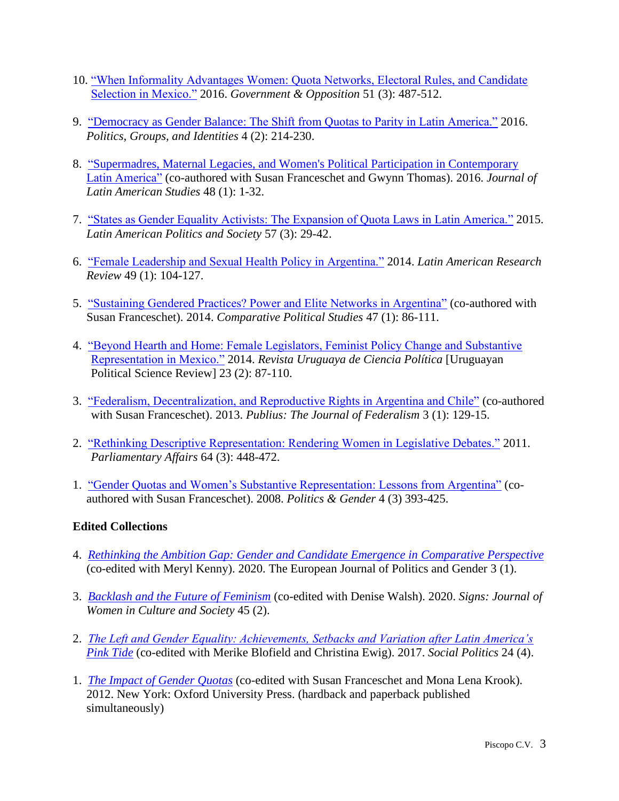- 10. ["When Informality Advantages Women: Quota Networks, Electoral Rules, and Candidate](https://www.cambridge.org/core/journals/government-and-opposition/article/when-informality-advantages-women-quota-networks-electoral-rules-and-candidate-selection-in-mexico/EEE342F39C2F423A30D30C0F8F5BAA9F)  [Selection in Mexico."](https://www.cambridge.org/core/journals/government-and-opposition/article/when-informality-advantages-women-quota-networks-electoral-rules-and-candidate-selection-in-mexico/EEE342F39C2F423A30D30C0F8F5BAA9F) 2016. *Government & Opposition* 51 (3): 487-512.
- 9. ["Democracy as Gender Balance: The Shift from Quotas to Parity in Latin America."](https://www.tandfonline.com/doi/full/10.1080/21565503.2015.1084936) 2016. *Politics, Groups, and Identities* 4 (2): 214-230.
- 8. ["Supermadres, Maternal Legacies, and Women's Political Participation in Contemporary](https://www.cambridge.org/core/journals/journal-of-latin-american-studies/article/supermadres-maternal-legacies-and-womens-political-participation-in-contemporary-latin-america/C5E4C8A4448BED97202936E1DBDF4090)  [Latin America"](https://www.cambridge.org/core/journals/journal-of-latin-american-studies/article/supermadres-maternal-legacies-and-womens-political-participation-in-contemporary-latin-america/C5E4C8A4448BED97202936E1DBDF4090) (co-authored with Susan Franceschet and Gwynn Thomas). 2016. *Journal of Latin American Studies* 48 (1): 1-32.
- 7. ["States as Gender Equality Activists: The Expansion of Quota Laws in Latin America."](https://www.cambridge.org/core/journals/latin-american-politics-and-society/article/states-as-gender-equality-activists-the-evolution-of-quota-laws-in-latin-america/527A27475AB26D20932BB7762EED84F2) 2015. *Latin American Politics and Society* 57 (3): 29-42.
- 6. ["Female Leadership and Sexual Health Policy in Argentina."](https://www.jstor.org/stable/43670155?seq=1) 2014. *Latin American Research Review* 49 (1): 104-127.
- 5. ["Sustaining Gendered Practices? Power and Elite Networks in Argentina"](https://journals.sagepub.com/doi/abs/10.1177/0010414013489379?journalCode=cpsa) (co-authored with Susan Franceschet). 2014. *Comparative Political Studies* 47 (1): 86-111.
- 4. ["Beyond Hearth and Home: Female Legislators, Feminist Policy Change and Substantive](http://www.scielo.edu.uy/pdf/rucp/v23nspe/v23nspe05.pdf)  [Representation in Mexico."](http://www.scielo.edu.uy/pdf/rucp/v23nspe/v23nspe05.pdf) 2014. *Revista [Uruguaya](http://www.fcs.edu.uy/pagina.php?PagId=1361&CatId=97&SubCatId=153) de Ciencia Política* [Uruguayan Political Science Review] 23 (2): 87-110.
- 3. ["Federalism, Decentralization, and Reproductive Rights in Argentina and Chile"](https://www.jstor.org/stable/42000262#metadata_info_tab_contents) (co-authored with Susan Franceschet). 2013. *Publius: The Journal of Federalism* 3 (1): 129-15.
- 2. ["Rethinking Descriptive Representation: Rendering Women in Legislative Debates."](https://academic.oup.com/pa/article-abstract/64/3/448/1443991) 2011. *Parliamentary Affairs* 64 (3): 448-472.
- 1. ["Gender Quotas and Women's Substantive Representation: Lessons from Argentina"](https://www.cambridge.org/core/journals/politics-and-gender/article/abs/gender-quotas-and-womens-substantive-representation-lessons-from-argentina/7AA9E3D4D0DEB6754A4528FDCCD9811D) (coauthored with Susan Franceschet). 2008. *Politics & Gender* 4 (3) 393-425.

## **Edited Collections**

- 4. *[Rethinking the Ambition Gap: Gender and Candidate Emergence in Comparative Perspective](https://www.ingentaconnect.com/content/bup/ejpg/2020/00000003/00000001)* (co-edited with Meryl Kenny). 2020. The European Journal of Politics and Gender 3 (1).
- 3. *[Backlash and the Future of Feminism](https://www.journals.uchicago.edu/toc/signs/2020/45/2)* (co-edited with Denise Walsh). 2020. *Signs: Journal of Women in Culture and Society* 45 (2).
- 2. *[The Left and Gender Equality: Achievements, Setbacks and Variation after Latin America's](https://academic.oup.com/sp/issue/24/4)  [Pink Tide](https://academic.oup.com/sp/issue/24/4)* (co-edited with Merike Blofield and Christina Ewig). 2017. *Social Politics* 24 (4).
- 1. *[The Impact of Gender Quotas](https://oxford.universitypressscholarship.com/view/10.1093/acprof:oso/9780199830091.001.0001/acprof-9780199830091)* (co-edited with Susan Franceschet and Mona Lena Krook). 2012. New York: Oxford University Press. (hardback and paperback published simultaneously)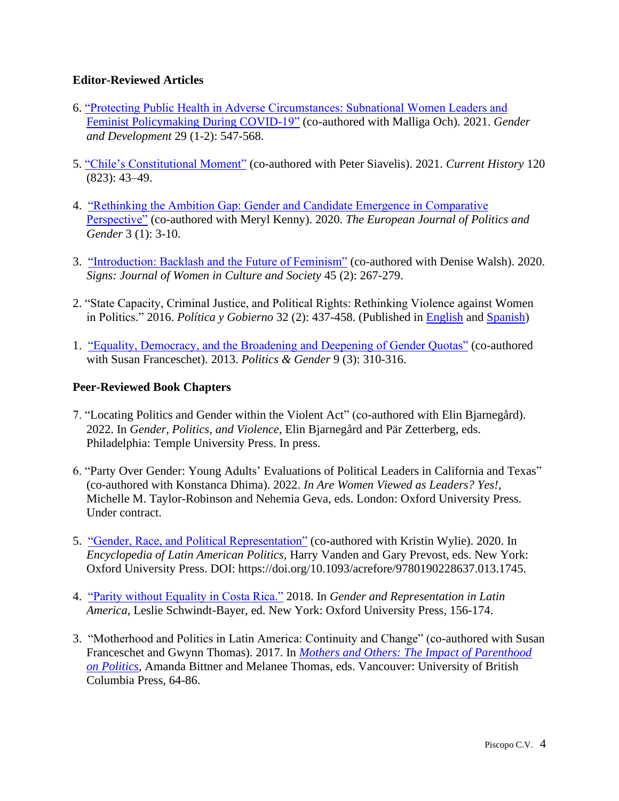## **Editor-Reviewed Articles**

- 6. ["Protecting Public Health in Adverse Circumstances: Subnational Women Leaders and](https://www.tandfonline.com/doi/abs/10.1080/13552074.2021.1982481?journalCode=cgde20)  [Feminist Policymaking During COVID-19"](https://www.tandfonline.com/doi/abs/10.1080/13552074.2021.1982481?journalCode=cgde20) (co-authored with Malliga Och). 2021. *Gender and Development* 29 (1-2): 547-568.
- 5. ["Chile's Constitutional Moment"](https://doi.org/10.1525/curh.2021.120.823.43) (co-authored with Peter Siavelis). 2021. *Current History* 120 (823): 43–49.
- 4. ["Rethinking the Ambition Gap: Gender and Candidate Emergence in Comparative](https://www.ingentaconnect.com/content/bup/ejpg/2020/00000003/00000001/art00001;jsessionid=1v1t2b0720548.x-ic-live-01)  [Perspective"](https://www.ingentaconnect.com/content/bup/ejpg/2020/00000003/00000001/art00001;jsessionid=1v1t2b0720548.x-ic-live-01) (co-authored with Meryl Kenny). 2020. *The European Journal of Politics and Gender* 3 (1): 3-10.
- 3. ["Introduction: Backlash and the Future of Feminism"](https://www.journals.uchicago.edu/doi/abs/10.1086/704950?journalCode=signs) (co-authored with Denise Walsh). 2020. *Signs: Journal of Women in Culture and Society* 45 (2): 267-279.
- 2. "State Capacity, Criminal Justice, and Political Rights: Rethinking Violence against Women in Politics." 2016. *Política y Gobierno* 32 (2): 437-458. (Published in [English](http://www.politicaygobierno.cide.edu/index.php/pyg/article/view/828/617) and [Spanish\)](http://www.politicaygobierno.cide.edu/index.php/pyg/article/view/828/616)
- 1. ["Equality, Democracy, and the Broadening and Deepening of Gender Quotas"](https://www.cambridge.org/core/journals/politics-and-gender/article/abs/equality-democracy-and-the-broadening-and-deepening-of-gender-quotas/54449EDF2D3707E12B393584B8A4B2DE) (co-authored with Susan Franceschet). 2013. *Politics & Gender* 9 (3): 310-316.

## **Peer-Reviewed Book Chapters**

- 7. "Locating Politics and Gender within the Violent Act" (co-authored with Elin Bjarnegård). 2022. In *Gender, Politics, and Violence,* Elin Bjarnegård and Pär Zetterberg, eds. Philadelphia: Temple University Press. In press.
- 6. "Party Over Gender: Young Adults' Evaluations of Political Leaders in California and Texas" (co-authored with Konstanca Dhima). 2022. *In Are Women Viewed as Leaders? Yes!*, Michelle M. Taylor-Robinson and Nehemia Geva, eds. London: Oxford University Press. Under contract.
- 5. ["Gender, Race, and Political Representation"](https://oxfordre.com/politics/view/10.1093/acrefore/9780190228637.001.0001/acrefore-9780190228637-e-1745) (co-authored with Kristin Wylie). 2020. In *Encyclopedia of Latin American Politics,* Harry Vanden and Gary Prevost, eds. New York: Oxford University Press. DOI: https://doi.org/10.1093/acrefore/9780190228637.013.1745.
- 4. ["Parity without Equality in Costa Rica."](https://oxford.universitypressscholarship.com/view/10.1093/oso/9780190851224.001.0001/oso-9780190851224-chapter-9) 2018. In *Gender and Representation in Latin America*, Leslie Schwindt-Bayer, ed. New York: Oxford University Press, 156-174.
- 3. "Motherhood and Politics in Latin America: Continuity and Change" (co-authored with Susan Franceschet and Gwynn Thomas). 2017. In *[Mothers and Others: The](https://www.ubcpress.ca/mothers-and-others) Impact of Parenthood [on Politics,](https://www.ubcpress.ca/mothers-and-others)* Amanda Bittner and Melanee Thomas, eds. Vancouver: University of British Columbia Press, 64-86.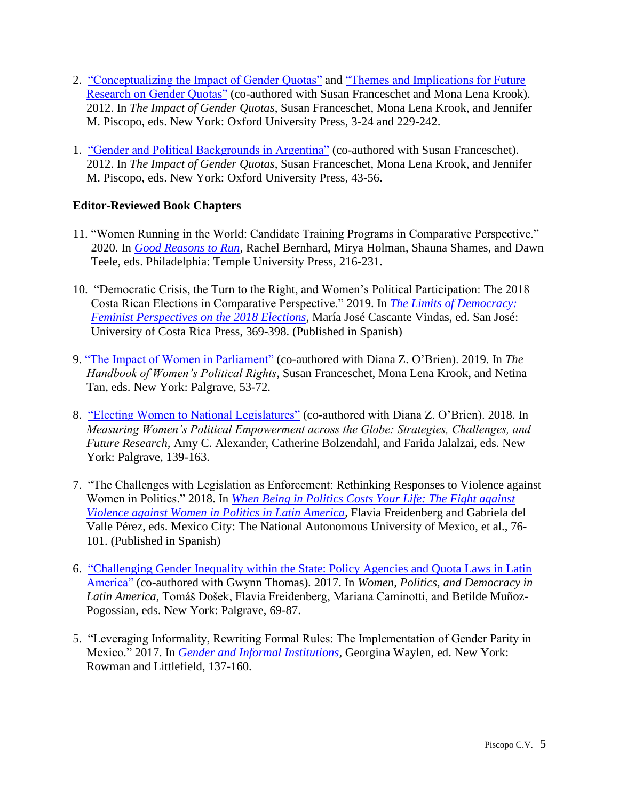- 2. ["Conceptualizing the Impact of Gender Quotas"](https://oxford.universitypressscholarship.com/view/10.1093/acprof:oso/9780199830091.001.0001/acprof-9780199830091-chapter-1) and ["Themes and Implications for Future](https://oxford.universitypressscholarship.com/view/10.1093/acprof:oso/9780199830091.001.0001/acprof-9780199830091-chapter-14)  [Research on Gender Quotas"](https://oxford.universitypressscholarship.com/view/10.1093/acprof:oso/9780199830091.001.0001/acprof-9780199830091-chapter-14) (co-authored with Susan Franceschet and Mona Lena Krook). 2012. In *The Impact of Gender Quotas*, Susan Franceschet, Mona Lena Krook, and Jennifer M. Piscopo, eds. New York: Oxford University Press, 3-24 and 229-242.
- 1. ["Gender and Political Backgrounds in Argentina"](https://oxford.universitypressscholarship.com/view/10.1093/acprof:oso/9780199830091.001.0001/acprof-9780199830091-chapter-3) (co-authored with Susan Franceschet). 2012. In *The Impact of Gender Quotas*, Susan Franceschet, Mona Lena Krook, and Jennifer M. Piscopo, eds. New York: Oxford University Press, 43-56.

## **Editor-Reviewed Book Chapters**

- 11. "Women Running in the World: Candidate Training Programs in Comparative Perspective." 2020. In *Good Reasons to Run*, Rachel Bernhard, Mirya Holman, Shauna Shames, and Dawn Teele, eds. Philadelphia: Temple University Press, 216-231.
- 10. "Democratic Crisis, the Turn to the Right, and Women's Political Participation: The 2018 Costa Rican Elections in Comparative Perspective." 2019. In *[The Limits of Democracy:](http://www.kerwa.ucr.ac.cr/bitstream/handle/10669/79800/Limites%20de%20la%20democracia%20digital%20completo.pdf?sequence=1&isAllowed=y)  Feminist Perspectives on the 2018 Elections*, María José Cascante Vindas, ed. San José: University of Costa Rica Press, 369-398. (Published in Spanish)
- 9. ["The Impact of Women in Parliament"](https://link.springer.com/chapter/10.1057/978-1-137-59074-9_4) (co-authored with Diana Z. O'Brien). 2019. In *The Handbook of Women's Political Rights*, Susan Franceschet, Mona Lena Krook, and Netina Tan, eds. New York: Palgrave, 53-72.
- 8. ["Electing Women to National Legislatures"](https://link.springer.com/chapter/10.1007/978-3-319-64006-8_7) (co-authored with Diana Z. O'Brien). 2018. In *Measuring Women's Political Empowerment across the Globe: Strategies, Challenges, and Future Research,* Amy C. Alexander, Catherine Bolzendahl, and Farida Jalalzai, eds. New York: Palgrave, 139-163.
- 7. "The Challenges with Legislation as Enforcement: Rethinking Responses to Violence against Women in Politics." 2018. In *[When Being in Politics Costs Your Life: The Fight against](https://archivos.juridicas.unam.mx/www/bjv/libros/10/4735/6.pdf)  Violence against Women in Politics in Latin America*, Flavia Freidenberg and Gabriela del Valle Pérez, eds. Mexico City: The National Autonomous University of Mexico, et al., 76- 101. (Published in Spanish)
- 6. "Challenging [Gender Inequality within the State: Policy Agencies and Quota Laws in Latin](https://link.springer.com/chapter/10.1057/978-1-349-95009-6_5)  [America"](https://link.springer.com/chapter/10.1057/978-1-349-95009-6_5) (co-authored with Gwynn Thomas). 2017. In *Women, Politics, and Democracy in Latin America,* Tomáš Došek, Flavia Freidenberg, Mariana Caminotti, and Betilde Muñoz-Pogossian, eds. New York: Palgrave, 69-87.
- 5. "Leveraging Informality, Rewriting Formal Rules: The Implementation of Gender Parity in Mexico." 2017. In *Gender and Informal Institutions*, Georgina Waylen, ed. New York: Rowman and Littlefield, 137-160.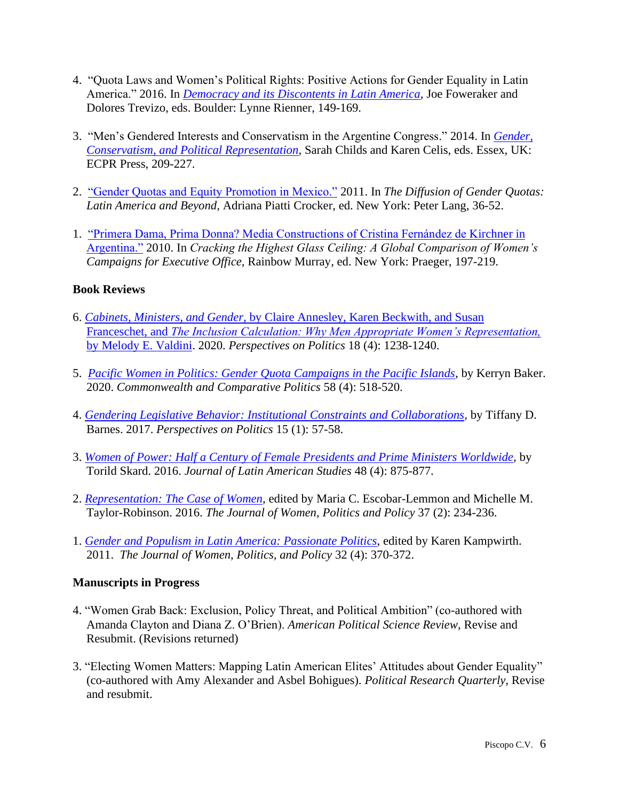- 4. "Quota Laws and Women's Political Rights: Positive Actions for Gender Equality in Latin America." 2016. In *Democracy and its Discontents in Latin America*, Joe Foweraker and Dolores Trevizo, eds. Boulder: Lynne Rienner, 149-169.
- 3. "Men's Gendered Interests and Conservatism in the Argentine Congress." 2014. In *[Gender,](https://rowman.com/ISBN/9781907301711/Gender-Conservatism-and-Political-Representation)  [Conservatism, and Political Representation,](https://rowman.com/ISBN/9781907301711/Gender-Conservatism-and-Political-Representation)* Sarah Childs and Karen Celis, eds. Essex, UK: ECPR Press, 209-227.
- 2. ["Gender Quotas and Equity Promotion in Mexico."](https://www.peterlang.com/view/9781453902479/9781453902479.00005.xml) 2011. In *The Diffusion of Gender Quotas: Latin America and Beyond,* Adriana Piatti Crocker, ed. New York: Peter Lang, 36-52.
- 1. ["Primera Dama, Prima Donna? Media Constructions of Cristina Fernández de Kirchner in](https://publisher.abc-clio.com/9780313382499/)  [Argentina."](https://publisher.abc-clio.com/9780313382499/) 2010. In *Cracking the Highest Glass Ceiling: A Global Comparison of Women's Campaigns for Executive Office,* Rainbow Murray, ed. New York: Praeger, 197-219.

## **Book Reviews**

- 6. *Cabinets, Ministers, and Gender,* [by Claire Annesley, Karen Beckwith, and Susan](https://www.cambridge.org/core/journals/perspectives-on-politics/article/cabinets-ministers-and-gender-by-claire-annesley-karen-beckwith-and-susan-franceschet-new-york-oxford-university-press-2019-334p-9900-cloth-2995-paper-the-inclusion-calculation-why-men-appropriate-womens-representation-by-melody-e-valdini-new-york-oxford-university-press-2019-208p-9900-cloth-2795-paper/0CB4B1CBFD9BC48B44068D8A48888E01)  Franceschet, and *[The Inclusion Calculation: Why Men Appropriate Women's Representation,](https://www.cambridge.org/core/journals/perspectives-on-politics/article/cabinets-ministers-and-gender-by-claire-annesley-karen-beckwith-and-susan-franceschet-new-york-oxford-university-press-2019-334p-9900-cloth-2995-paper-the-inclusion-calculation-why-men-appropriate-womens-representation-by-melody-e-valdini-new-york-oxford-university-press-2019-208p-9900-cloth-2795-paper/0CB4B1CBFD9BC48B44068D8A48888E01)*  [by Melody E. Valdini.](https://www.cambridge.org/core/journals/perspectives-on-politics/article/cabinets-ministers-and-gender-by-claire-annesley-karen-beckwith-and-susan-franceschet-new-york-oxford-university-press-2019-334p-9900-cloth-2995-paper-the-inclusion-calculation-why-men-appropriate-womens-representation-by-melody-e-valdini-new-york-oxford-university-press-2019-208p-9900-cloth-2795-paper/0CB4B1CBFD9BC48B44068D8A48888E01) 2020. *Perspectives on Politics* 18 (4): 1238-1240.
- 5. *[Pacific Women in Politics: Gender Quota Campaigns in the Pacific Islands,](https://www.tandfonline.com/doi/full/10.1080/14662043.2020.1824346)* by Kerryn Baker. 2020. *Commonwealth and Comparative Politics* 58 (4): 518-520.
- 4. *[Gendering Legislative Behavior: Institutional Constraints and Collaborations,](https://www.cambridge.org/core/journals/perspectives-on-politics/article/abs/gendering-legislative-behavior-institutional-constraints-and-collaborations-by-tiffany-d-barnes-new-york-cambridge-university-press-2016-310p-9999-cloth-3499-paper/13FAB42A1D6C4BAD854E4DB3DFA348C8)* by Tiffany D. Barnes. 2017. *Perspectives on Politics* 15 (1): 57-58.
- 3. *[Women of Power: Half a Century of Female Presidents and Prime Ministers Worldwide,](https://www.cambridge.org/core/journals/journal-of-latin-american-studies/article/abs/torild-skard-women-of-power-half-a-century-of-female-presidents-and-prime-ministers-worldwide-bristol-uk-and-chicago-il-policy-press-2015-pp-xiii-499-2899-5500-pb/0C3F16C20E8E26A87FF914E02ACD32B5)* by Torild Skard. 2016. *Journal of Latin American Studies* 48 (4): 875-877.
- 2. *[Representation: The Case of Women,](https://www.tandfonline.com/doi/full/10.1080/1554477X.2016.1153351#abstract)* edited by Maria C. Escobar-Lemmon and Michelle M. Taylor-Robinson. 2016. *The Journal of Women, Politics and Policy* 37 (2): 234-236.
- 1. *[Gender and Populism in Latin America: Passionate Politics](https://www.tandfonline.com/doi/abs/10.1080/1554477X.2011.613713)*, edited by Karen Kampwirth. 2011. *The Journal of Women, Politics, and Policy* 32 (4): 370-372.

## **Manuscripts in Progress**

- 4. "Women Grab Back: Exclusion, Policy Threat, and Political Ambition" (co-authored with Amanda Clayton and Diana Z. O'Brien). *American Political Science Review,* Revise and Resubmit. (Revisions returned)
- 3. "Electing Women Matters: Mapping Latin American Elites' Attitudes about Gender Equality" (co-authored with Amy Alexander and Asbel Bohigues). *Political Research Quarterly,* Revise and resubmit.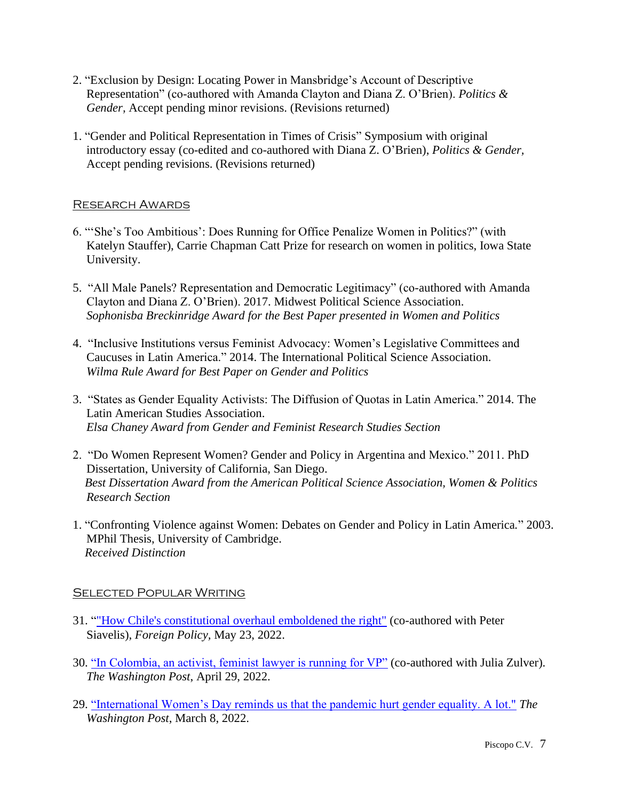- 2. "Exclusion by Design: Locating Power in Mansbridge's Account of Descriptive Representation" (co-authored with Amanda Clayton and Diana Z. O'Brien). *Politics & Gender,* Accept pending minor revisions. (Revisions returned)
- 1. "Gender and Political Representation in Times of Crisis" Symposium with original introductory essay (co-edited and co-authored with Diana Z. O'Brien), *Politics & Gender,*  Accept pending revisions. (Revisions returned)

## Research Awards

- 6. "'She's Too Ambitious': Does Running for Office Penalize Women in Politics?" (with Katelyn Stauffer), Carrie Chapman Catt Prize for research on women in politics, Iowa State University.
- 5. "All Male Panels? Representation and Democratic Legitimacy" (co-authored with Amanda Clayton and Diana Z. O'Brien). 2017. Midwest Political Science Association. *Sophonisba Breckinridge Award for the Best Paper presented in Women and Politics*
- 4. "Inclusive Institutions versus Feminist Advocacy: Women's Legislative Committees and Caucuses in Latin America." 2014. The International Political Science Association. *Wilma Rule Award for Best Paper on Gender and Politics*
- 3. "States as Gender Equality Activists: The Diffusion of Quotas in Latin America." 2014. The Latin American Studies Association. *Elsa Chaney Award from Gender and Feminist Research Studies Section*
- 2. "Do Women Represent Women? Gender and Policy in Argentina and Mexico." 2011. PhD Dissertation, University of California, San Diego.  *Best Dissertation Award from the American Political Science Association, Women & Politics Research Section*
- 1. "Confronting Violence against Women: Debates on Gender and Policy in Latin America*.*" 2003. MPhil Thesis, University of Cambridge. *Received Distinction*

## **SELECTED POPULAR WRITING**

- 31. [""How Chile's constitutional overhaul emboldened the right"](https://foreignpolicy.com/2022/05/23/chile-new-constitution-democracy-right-wing-latin-america/) (co-authored with Peter Siavelis), *Foreign Policy,* May 23, 2022.
- 30. ["In Colombia, an activist, feminist lawyer is running for VP"](https://www.washingtonpost.com/politics/2022/04/29/marquez-petro-colombia-election-may29-afrocolombian/) (co-authored with Julia Zulver). *The Washington Post*, April 29, 2022.
- 29. ["International Women's Day reminds us that the pandemic hurt gender equality. A lot."](https://www.washingtonpost.com/politics/2022/03/08/iwd-pandemic-gender-recovery/) *The Washington Post*, March 8, 2022.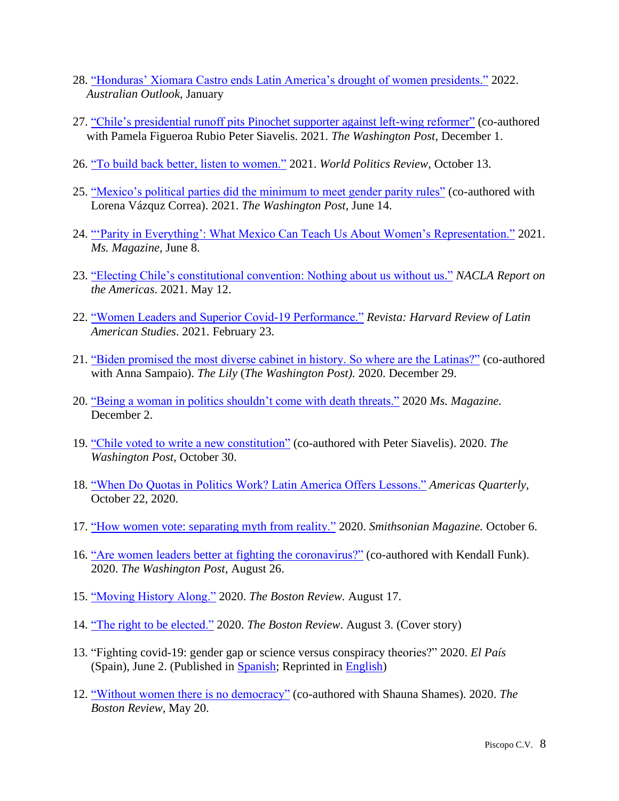- 28. "Honduras' Xiomara Castro ends Latin America's drought of women presidents." 2022. *Australian Outlook,* January
- 27. ["Chile's presidential runoff pits Pinochet supporter against left-wing reformer"](https://www.washingtonpost.com/politics/2021/12/01/chile-presidential-election-reform-backlash/) (co-authored with Pamela Figueroa Rubio Peter Siavelis. 2021. *The Washington Post,* December 1.
- 26. ["To build back better, listen to women."](https://www.worldpoliticsreview.com/articles/30030/build-back-better-must-address-the-pandemic-s-effects-on-women) 2021. *World Politics Review,* October 13.
- 25. ["Mexico's political parties did the minimum to meet gender parity rules"](https://www.washingtonpost.com/politics/2021/06/14/mexicos-political-parties-did-minimum-meet-gender-parity-rules-female-candidates-scored-big-anyway/) (co-authored with Lorena Vázquz Correa). 2021. *The Washington Post,* June 14.
- 24. ["'Parity in Everything': What Mexico Can Teach Us About Women's Representation."](https://msmagazine.com/2021/06/04/mexico-midterm-elections-parity-women-representation-politics/) 2021. *Ms. Magazine,* June 8.
- 23. ["Electing Chile's constitutional convention: Nothing about us without us."](https://nacla.org/news/2021/05/10/chile-constitutional-convention-election-women) *NACLA Report on the Americas*. 2021. May 12.
- 22. ["Women Leaders and Superior Covid-19 Performance."](https://revista.drclas.harvard.edu/women-leaders-and-superior-covid-19-performance/) *Revista: Harvard Review of Latin American Studies*. 2021. February 23.
- 21. ["Biden promised the most diverse cabinet in history. So where are the Latinas?"](https://www.thelily.com/biden-promised-the-most-diverse-cabinet-in-history-so-where-are-the-latinas/) (co-authored with Anna Sampaio). *The Lily* (*The Washington Post).* 2020. December 29.
- 20. ["Being a woman in politics shouldn't come with death threats."](https://msmagazine.com/2020/12/02/violence-against-women-being-a-woman-in-politics-shouldnt-come-with-death-threats/) 2020 *Ms. Magazine.*  December 2.
- 19. ["Chile voted to write a new constitution"](https://t.co/oN5nZ1qE6I?amp=1) (co-authored with Peter Siavelis). 2020. *The Washington Post,* October 30.
- 18. ["When Do Quotas in Politics Work? Latin America Offers Lessons."](https://americasquarterly.org/article/when-do-quotas-in-politics-work-latin-america-offers-lessons/) *Americas Quarterly*, October 22, 2020.
- 17. ["How women vote: separating myth from reality."](https://www.smithsonianmag.com/history/how-have-women-voted-suffrage-180975979/) 2020. *Smithsonian Magazine.* October 6.
- 16. ["Are women leaders better at fighting the coronavirus?"](https://www.washingtonpost.com/politics/2020/08/26/are-female-leaders-better-fighting-covid-19/) (co-authored with Kendall Funk). 2020. *The Washington Post,* August 26.
- 15. ["Moving History Along."](https://bostonreview.net/forum/what-does-it-take-get-women-elected/jennifer-m-piscopo-moving-history-along) 2020. *The Boston Review.* August 17.
- 14. ["The right to be elected."](http://bostonreview.net/politics-gender-sexuality/jennifer-m-piscopo-what-does-it-take-get-women-elected) 2020. *The Boston Review*. August 3. (Cover story)
- 13. "Fighting covid-19: gender gap or science versus conspiracy theories?" 2020. *El País*  (Spain), June 2. (Published in [Spanish;](http://agendapublica.elpais.com/brecha-de-genero-o-ciencia-vs-teorias-conspiratorias/) Reprinted in [English\)](https://graduateinstitute.ch/communications/news/gender-and-other-drivers-leaders-policy-responses-coronavirus)
- 12. ["Without women there is no democracy"](http://bostonreview.net/politics-gender-sexuality/jennifer-m-piscopo-shauna-l-shames-without-women-there-no-democracy) (co-authored with Shauna Shames). 2020. *The Boston Review,* May 20.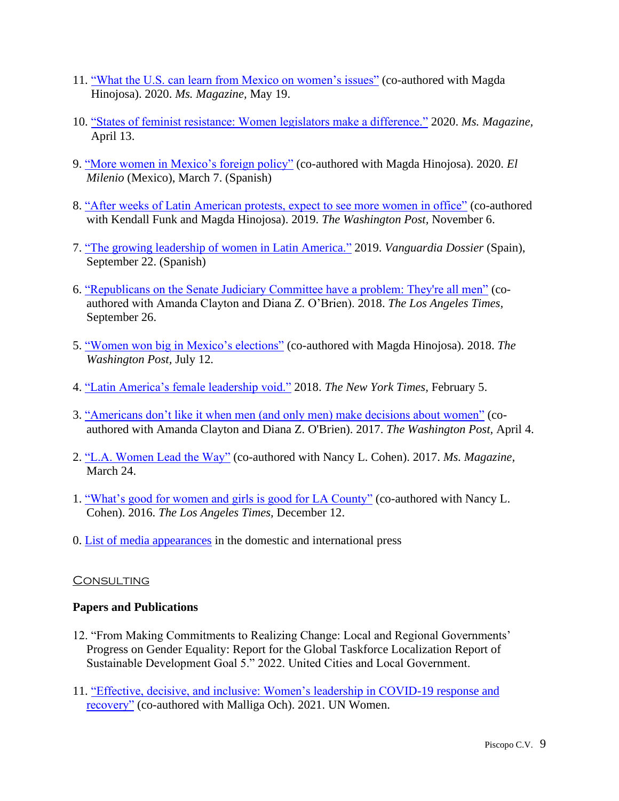- 11. ["What the U.S. can learn from Mexico on women's issues"](https://msmagazine.com/2020/05/19/mexico-feminist-foreign-policy-what-the-u-s-can-learn-from-mexico-on-womens-issues/) (co-authored with Magda Hinojosa). 2020. *Ms. Magazine,* May 19.
- 10. ["States of feminist resistance: Women legislators make a difference."](https://msmagazine.com/2020/04/13/states-of-feminist-resistance-how-progressive-women-legislators-make-a-difference/) 2020. *Ms. Magazine,*  April 13.
- 9. ["More women in Mexico's foreign policy"](https://www.milenio.com/opinion/jennifer-piscopo-magda-hinojojosa/columna-jennifer-piscopo-magda-hinojosa/mas-mujeres-en-la-politica-exterior-mexicana) (co-authored with Magda Hinojosa). 2020. *El Milenio* (Mexico), March 7. (Spanish)
- 8. ["After weeks of Latin American protests, expect to see more women in office"](https://www.washingtonpost.com/politics/2019/11/06/after-weeks-latin-american-protests-expect-see-more-women-elected-office/?wpisrc=nl_cage&wpmm=1) (co-authored with Kendall Funk and Magda Hinojosa). 2019. *The Washington Post,* November 6.
- 7. ["The growing leadership of women in Latin America."](https://www.lavanguardia.com/vanguardia-dossier/20190922/47504769466/liderazgo-mujeres-crece-america-latina.html) 2019. *Vanguardia Dossier* (Spain), September 22. (Spanish)
- 6. ["Republicans on the Senate Judiciary Committee have a problem: They're all men"](http://www.latimes.com/opinion/op-ed/la-oe-piscopo-kavanaugh-ford-20180926-story.html) (coauthored with Amanda Clayton and Diana Z. O'Brien). 2018. *The Los Angeles Times,*  September 26.
- 5. ["Women won big in Mexico's elections"](https://www.washingtonpost.com/news/monkey-cage/wp/2018/07/11/women-won-big-in-mexicos-elections-taking-nearly-half-the-legislatures-seats-heres-why/?utm_term=.f794939ad3e7&wpisrc=nl_cage&wpmm=1) (co-authored with Magda Hinojosa). 2018. *The Washington Post,* July 12.
- 4. ["Latin America's female leadership void."](https://www.nytimes.com/2018/02/05/opinion/michelle-bachelet-women-politics.html) 2018. *The New York Times,* February 5.
- 3. ["Americans don't like it when men \(and only men\) make decisions about women"](https://www.washingtonpost.com/news/monkey-cage/wp/2017/04/04/americans-dont-like-it-when-men-and-only-men-make-decisions-about-women/?utm_term=.b49709dda1b3) (coauthored with Amanda Clayton and Diana Z. O'Brien). 2017. *The Washington Post,* April 4.
- 2. ["L.A. Women Lead the Way"](http://msmagazine.com/blog/2017/03/24/l-women-lead-way/) (co-authored with Nancy L. Cohen). 2017. *Ms. Magazine,*  March 24.
- 1. ["What's good for women and girls is good for LA County"](http://www.latimes.com/opinion/op-ed/la-oe-piscopo-cohen-county-womens-initiative-20161212-story.html) (co-authored with Nancy L. Cohen). 2016. *The Los Angeles Times,* December 12.
- 0. [List of media appearances](https://www.jenniferpiscopo.com/media/) in the domestic and international press

#### **CONSULTING** I

## **Papers and Publications**

- 12. "From Making Commitments to Realizing Change: Local and Regional Governments' Progress on Gender Equality: Report for the Global Taskforce Localization Report of Sustainable Development Goal 5." 2022. United Cities and Local Government.
- 11. ["Effective, decisive, and inclusive: Women's leadership in COVID-19 response and](https://www.unwomen.org/en/digital-library/publications/2021/10/effective-decisive-and-inclusive-womens-leadership-in-covid-19-response-and-recovery#view)  [recovery"](https://www.unwomen.org/en/digital-library/publications/2021/10/effective-decisive-and-inclusive-womens-leadership-in-covid-19-response-and-recovery#view) (co-authored with Malliga Och). 2021. UN Women.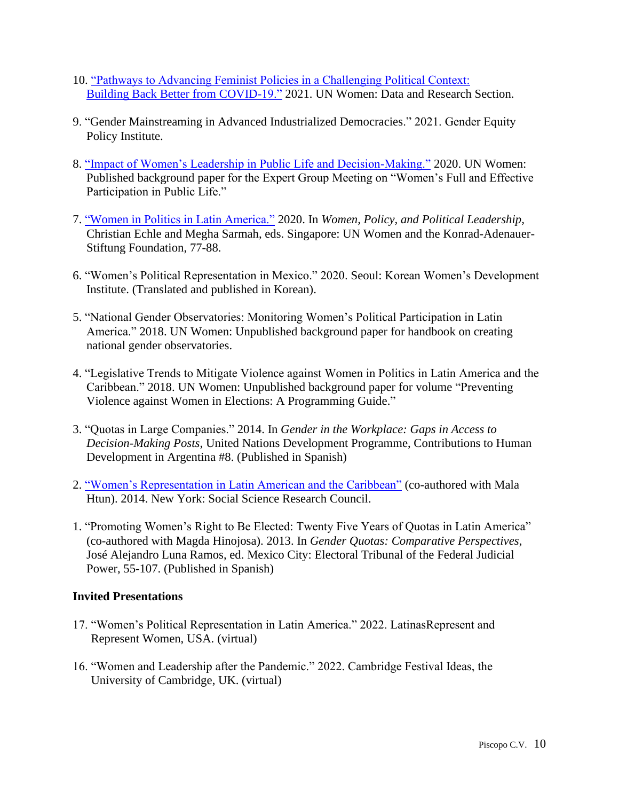- 10. ["Pathways to Advancing Feminist Policies in a Challenging Political Context:](https://www.unwomen.org/-/media/headquarters/attachments/sections/library/publications/2021/think-piece-pathways-to-building-back-better-en.pdf?la=en&vs=4432) [Building Back Better from COVID-19."](https://www.unwomen.org/-/media/headquarters/attachments/sections/library/publications/2021/think-piece-pathways-to-building-back-better-en.pdf?la=en&vs=4432) 2021. UN Women: Data and Research Section.
- 9. "Gender Mainstreaming in Advanced Industrialized Democracies." 2021. Gender Equity Policy Institute.
- 8. ["Impact of Women's Leadership in Public Life and Decision-Making."](https://www.unwomen.org/-/media/headquarters/attachments/sections/csw/65/egm/piscopo_women%20impact_ep13_egmcsw65.pdf?la=en&vs=4743) 2020. UN Women: Published background paper for the Expert Group Meeting on "Women's Full and Effective Participation in Public Life."
- 7. ["Women in Politics in Latin America."](https://www.kas.de/documents/288143/11335016/KAS_women_2020_JenniferMPiscopo.pdf/1ea439f9-75eb-2fea-ed01-f68c21fffd7b?t=1610705826558) 2020. In *Women, Policy, and Political Leadership,*  Christian Echle and Megha Sarmah, eds. Singapore: UN Women and the Konrad-Adenauer-Stiftung Foundation, 77-88.
- 6. "Women's Political Representation in Mexico." 2020. Seoul: Korean Women's Development Institute. (Translated and published in Korean).
- 5. "National Gender Observatories: Monitoring Women's Political Participation in Latin America." 2018. UN Women: Unpublished background paper for handbook on creating national gender observatories.
- 4. "Legislative Trends to Mitigate Violence against Women in Politics in Latin America and the Caribbean." 2018. UN Women: Unpublished background paper for volume "Preventing Violence against Women in Elections: A Programming Guide."
- 3. "Quotas in Large Companies." 2014. In *Gender in the Workplace: Gaps in Access to Decision-Making Posts*, United Nations Development Programme, Contributions to Human Development in Argentina #8. (Published in Spanish)
- 2. ["Women's Representation in Latin American and the Caribbean"](http://webarchive.ssrc.org/working-papers/CPPF_WomenInPolitics_02_Htun_Piscopo.pdf) (co-authored with Mala Htun). 2014. New York: Social Science Research Council.
- 1. "Promoting Women's Right to Be Elected: Twenty Five Years of Quotas in Latin America" (co-authored with Magda Hinojosa). 2013. In *Gender Quotas: Comparative Perspectives*, José Alejandro Luna Ramos, ed. Mexico City: Electoral Tribunal of the Federal Judicial Power, 55-107. (Published in Spanish)

## **Invited Presentations**

- 17. "Women's Political Representation in Latin America." 2022. LatinasRepresent and Represent Women, USA. (virtual)
- 16. "Women and Leadership after the Pandemic." 2022. Cambridge Festival Ideas, the University of Cambridge, UK. (virtual)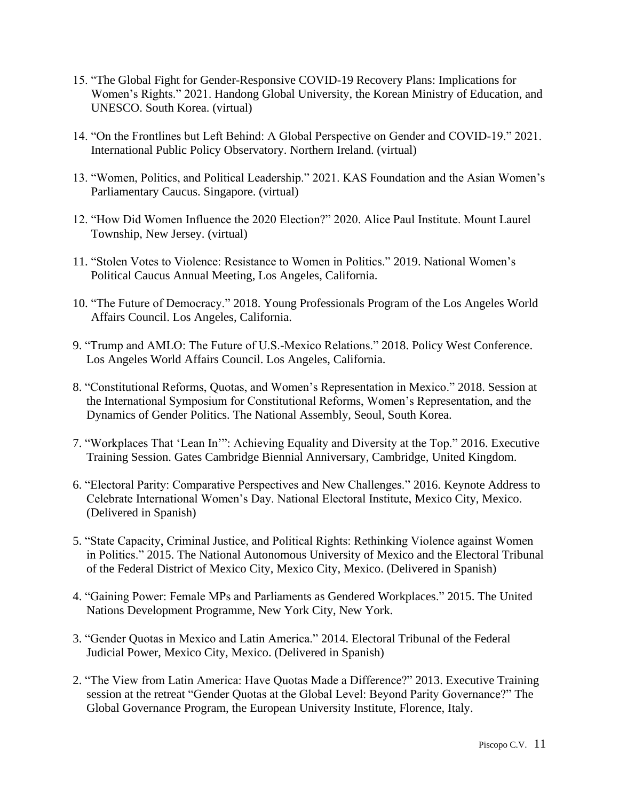- 15. "The Global Fight for Gender-Responsive COVID-19 Recovery Plans: Implications for Women's Rights." 2021. Handong Global University, the Korean Ministry of Education, and UNESCO. South Korea. (virtual)
- 14. "On the Frontlines but Left Behind: A Global Perspective on Gender and COVID-19." 2021. International Public Policy Observatory. Northern Ireland. (virtual)
- 13. "Women, Politics, and Political Leadership." 2021. KAS Foundation and the Asian Women's Parliamentary Caucus. Singapore. (virtual)
- 12. "How Did Women Influence the 2020 Election?" 2020. Alice Paul Institute. Mount Laurel Township, New Jersey. (virtual)
- 11. "Stolen Votes to Violence: Resistance to Women in Politics." 2019. National Women's Political Caucus Annual Meeting, Los Angeles, California.
- 10. "The Future of Democracy." 2018. Young Professionals Program of the Los Angeles World Affairs Council. Los Angeles, California.
- 9. "Trump and AMLO: The Future of U.S.-Mexico Relations." 2018. Policy West Conference. Los Angeles World Affairs Council. Los Angeles, California.
- 8. "Constitutional Reforms, Quotas, and Women's Representation in Mexico." 2018. Session at the International Symposium for Constitutional Reforms, Women's Representation, and the Dynamics of Gender Politics. The National Assembly, Seoul, South Korea.
- 7. "Workplaces That 'Lean In'": Achieving Equality and Diversity at the Top." 2016. Executive Training Session. Gates Cambridge Biennial Anniversary, Cambridge, United Kingdom.
- 6. "Electoral Parity: Comparative Perspectives and New Challenges." 2016. Keynote Address to Celebrate International Women's Day. National Electoral Institute, Mexico City, Mexico. (Delivered in Spanish)
- 5. "State Capacity, Criminal Justice, and Political Rights: Rethinking Violence against Women in Politics." 2015. The National Autonomous University of Mexico and the Electoral Tribunal of the Federal District of Mexico City, Mexico City, Mexico. (Delivered in Spanish)
- 4. "Gaining Power: Female MPs and Parliaments as Gendered Workplaces." 2015. The United Nations Development Programme, New York City, New York.
- 3. "Gender Quotas in Mexico and Latin America." 2014. Electoral Tribunal of the Federal Judicial Power, Mexico City, Mexico. (Delivered in Spanish)
- 2. "The View from Latin America: Have Quotas Made a Difference?" 2013. Executive Training session at the retreat "Gender Quotas at the Global Level: Beyond Parity Governance?" The Global Governance Program, the European University Institute, Florence, Italy.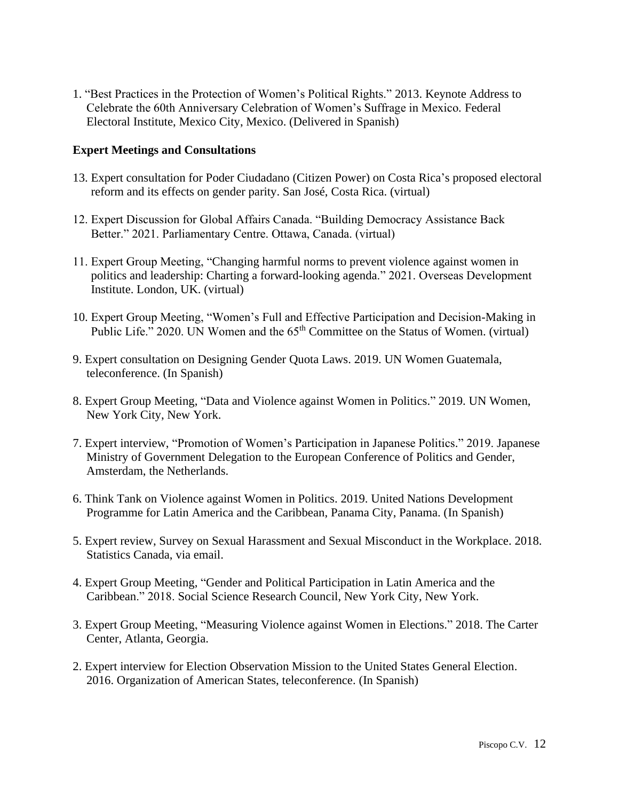1. "Best Practices in the Protection of Women's Political Rights." 2013. Keynote Address to Celebrate the 60th Anniversary Celebration of Women's Suffrage in Mexico*.* Federal Electoral Institute, Mexico City, Mexico. (Delivered in Spanish)

## **Expert Meetings and Consultations**

- 13. Expert consultation for Poder Ciudadano (Citizen Power) on Costa Rica's proposed electoral reform and its effects on gender parity. San José, Costa Rica. (virtual)
- 12. Expert Discussion for Global Affairs Canada. "Building Democracy Assistance Back Better." 2021. Parliamentary Centre. Ottawa, Canada. (virtual)
- 11. Expert Group Meeting, "Changing harmful norms to prevent violence against women in politics and leadership: Charting a forward-looking agenda." 2021. Overseas Development Institute. London, UK. (virtual)
- 10. Expert Group Meeting, "Women's Full and Effective Participation and Decision-Making in Public Life." 2020. UN Women and the 65<sup>th</sup> Committee on the Status of Women. (virtual)
- 9. Expert consultation on Designing Gender Quota Laws. 2019. UN Women Guatemala, teleconference. (In Spanish)
- 8. Expert Group Meeting, "Data and Violence against Women in Politics." 2019. UN Women, New York City, New York.
- 7. Expert interview, "Promotion of Women's Participation in Japanese Politics." 2019. Japanese Ministry of Government Delegation to the European Conference of Politics and Gender, Amsterdam, the Netherlands.
- 6. Think Tank on Violence against Women in Politics. 2019. United Nations Development Programme for Latin America and the Caribbean, Panama City, Panama. (In Spanish)
- 5. Expert review, Survey on Sexual Harassment and Sexual Misconduct in the Workplace. 2018. Statistics Canada, via email.
- 4. Expert Group Meeting, "Gender and Political Participation in Latin America and the Caribbean." 2018. Social Science Research Council, New York City, New York.
- 3. Expert Group Meeting, "Measuring Violence against Women in Elections." 2018. The Carter Center, Atlanta, Georgia.
- 2. Expert interview for Election Observation Mission to the United States General Election. 2016. Organization of American States, teleconference. (In Spanish)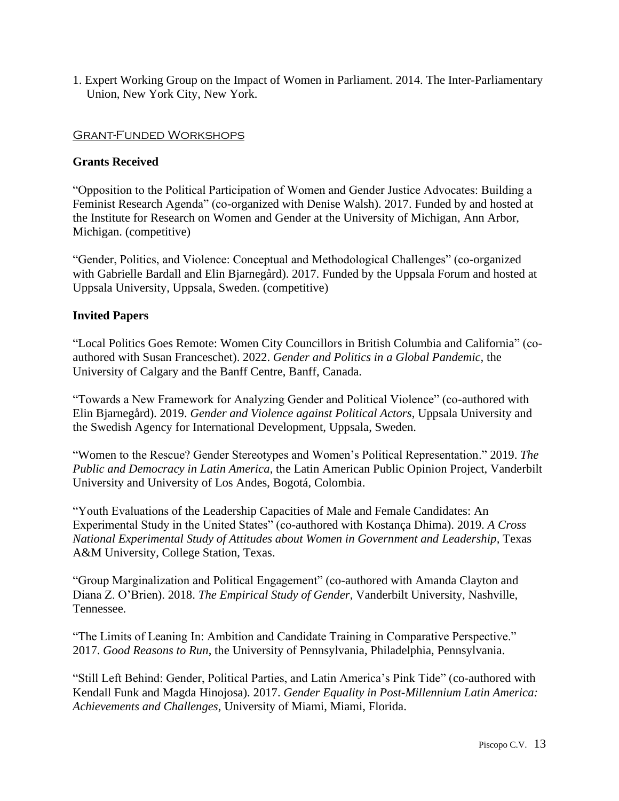1. Expert Working Group on the Impact of Women in Parliament. 2014. The Inter-Parliamentary Union, New York City, New York.

### Grant-Funded Workshops

### **Grants Received**

"Opposition to the Political Participation of Women and Gender Justice Advocates: Building a Feminist Research Agenda" (co-organized with Denise Walsh). 2017. Funded by and hosted at the Institute for Research on Women and Gender at the University of Michigan, Ann Arbor, Michigan. (competitive)

"Gender, Politics, and Violence: Conceptual and Methodological Challenges" (co-organized with Gabrielle Bardall and Elin Bjarnegård). 2017. Funded by the Uppsala Forum and hosted at Uppsala University, Uppsala, Sweden. (competitive)

### **Invited Papers**

"Local Politics Goes Remote: Women City Councillors in British Columbia and California" (coauthored with Susan Franceschet). 2022. *Gender and Politics in a Global Pandemic,* the University of Calgary and the Banff Centre, Banff, Canada.

"Towards a New Framework for Analyzing Gender and Political Violence" (co-authored with Elin Bjarnegård). 2019. *Gender and Violence against Political Actors*, Uppsala University and the Swedish Agency for International Development, Uppsala, Sweden.

"Women to the Rescue? Gender Stereotypes and Women's Political Representation." 2019. *The Public and Democracy in Latin America*, the Latin American Public Opinion Project, Vanderbilt University and University of Los Andes, Bogotá, Colombia.

"Youth Evaluations of the Leadership Capacities of Male and Female Candidates: An Experimental Study in the United States" (co-authored with Kostança Dhima). 2019. *A Cross National Experimental Study of Attitudes about Women in Government and Leadership,* Texas A&M University, College Station, Texas.

"Group Marginalization and Political Engagement" (co-authored with Amanda Clayton and Diana Z. O'Brien). 2018. *The Empirical Study of Gender*, Vanderbilt University, Nashville, Tennessee.

"The Limits of Leaning In: Ambition and Candidate Training in Comparative Perspective." 2017. *Good Reasons to Run*, the University of Pennsylvania, Philadelphia, Pennsylvania.

"Still Left Behind: Gender, Political Parties, and Latin America's Pink Tide" (co-authored with Kendall Funk and Magda Hinojosa). 2017. *Gender Equality in Post-Millennium Latin America: Achievements and Challenges*, University of Miami, Miami, Florida.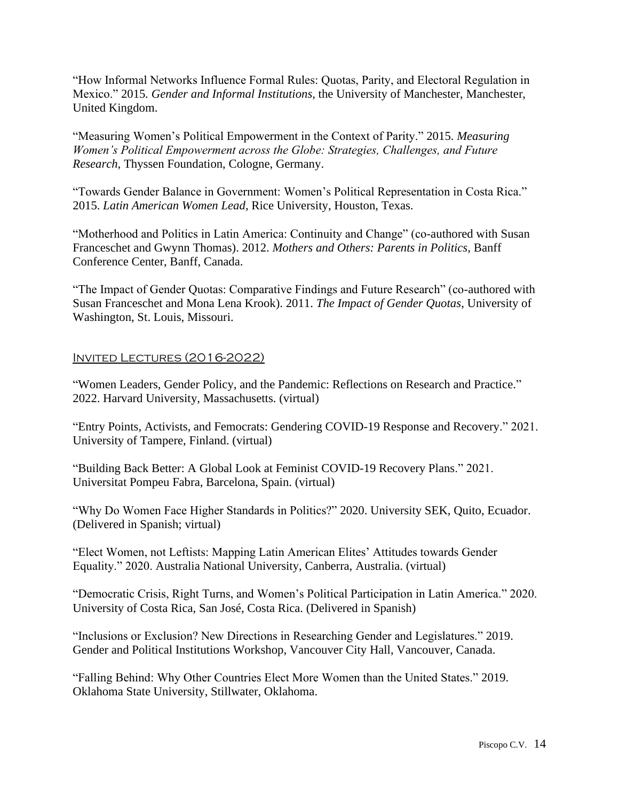"How Informal Networks Influence Formal Rules: Quotas, Parity, and Electoral Regulation in Mexico." 2015*. Gender and Informal Institutions*, the University of Manchester, Manchester, United Kingdom.

"Measuring Women's Political Empowerment in the Context of Parity." 2015. *Measuring Women's Political Empowerment across the Globe: Strategies, Challenges, and Future Research*, Thyssen Foundation, Cologne, Germany.

"Towards Gender Balance in Government: Women's Political Representation in Costa Rica." 2015. *Latin American Women Lead*, Rice University, Houston, Texas.

"Motherhood and Politics in Latin America: Continuity and Change" (co-authored with Susan Franceschet and Gwynn Thomas). 2012. *Mothers and Others: Parents in Politics,* Banff Conference Center, Banff, Canada.

"The Impact of Gender Quotas: Comparative Findings and Future Research" (co-authored with Susan Franceschet and Mona Lena Krook). 2011. *The Impact of Gender Quotas*, University of Washington, St. Louis, Missouri.

## Invited Lectures (2016-2022)

"Women Leaders, Gender Policy, and the Pandemic: Reflections on Research and Practice." 2022. Harvard University, Massachusetts. (virtual)

"Entry Points, Activists, and Femocrats: Gendering COVID-19 Response and Recovery." 2021. University of Tampere, Finland. (virtual)

"Building Back Better: A Global Look at Feminist COVID-19 Recovery Plans." 2021. Universitat Pompeu Fabra, Barcelona, Spain. (virtual)

"Why Do Women Face Higher Standards in Politics?" 2020. University SEK, Quito, Ecuador. (Delivered in Spanish; virtual)

"Elect Women, not Leftists: Mapping Latin American Elites' Attitudes towards Gender Equality." 2020. Australia National University, Canberra, Australia. (virtual)

"Democratic Crisis, Right Turns, and Women's Political Participation in Latin America." 2020. University of Costa Rica, San José, Costa Rica. (Delivered in Spanish)

"Inclusions or Exclusion? New Directions in Researching Gender and Legislatures." 2019. Gender and Political Institutions Workshop, Vancouver City Hall, Vancouver, Canada.

"Falling Behind: Why Other Countries Elect More Women than the United States." 2019. Oklahoma State University, Stillwater, Oklahoma.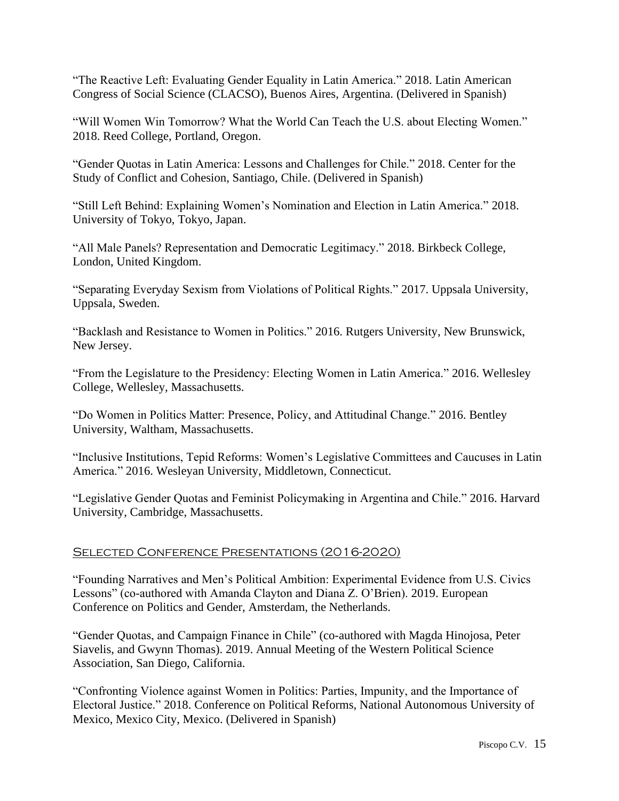"The Reactive Left: Evaluating Gender Equality in Latin America." 2018. Latin American Congress of Social Science (CLACSO), Buenos Aires, Argentina. (Delivered in Spanish)

"Will Women Win Tomorrow? What the World Can Teach the U.S. about Electing Women." 2018. Reed College, Portland, Oregon.

"Gender Quotas in Latin America: Lessons and Challenges for Chile." 2018. Center for the Study of Conflict and Cohesion, Santiago, Chile. (Delivered in Spanish)

"Still Left Behind: Explaining Women's Nomination and Election in Latin America." 2018. University of Tokyo, Tokyo, Japan.

"All Male Panels? Representation and Democratic Legitimacy." 2018. Birkbeck College, London, United Kingdom.

"Separating Everyday Sexism from Violations of Political Rights." 2017. Uppsala University, Uppsala, Sweden.

"Backlash and Resistance to Women in Politics." 2016. Rutgers University, New Brunswick, New Jersey.

"From the Legislature to the Presidency: Electing Women in Latin America." 2016. Wellesley College, Wellesley, Massachusetts.

"Do Women in Politics Matter: Presence, Policy, and Attitudinal Change." 2016. Bentley University, Waltham, Massachusetts.

"Inclusive Institutions, Tepid Reforms: Women's Legislative Committees and Caucuses in Latin America." 2016. Wesleyan University, Middletown, Connecticut.

"Legislative Gender Quotas and Feminist Policymaking in Argentina and Chile." 2016. Harvard University, Cambridge, Massachusetts.

## SELECTED CONFERENCE PRESENTATIONS (2016-2020)

"Founding Narratives and Men's Political Ambition: Experimental Evidence from U.S. Civics Lessons" (co-authored with Amanda Clayton and Diana Z. O'Brien). 2019. European Conference on Politics and Gender, Amsterdam, the Netherlands.

"Gender Quotas, and Campaign Finance in Chile" (co-authored with Magda Hinojosa, Peter Siavelis, and Gwynn Thomas). 2019. Annual Meeting of the Western Political Science Association, San Diego, California.

"Confronting Violence against Women in Politics: Parties, Impunity, and the Importance of Electoral Justice." 2018. Conference on Political Reforms, National Autonomous University of Mexico, Mexico City, Mexico. (Delivered in Spanish)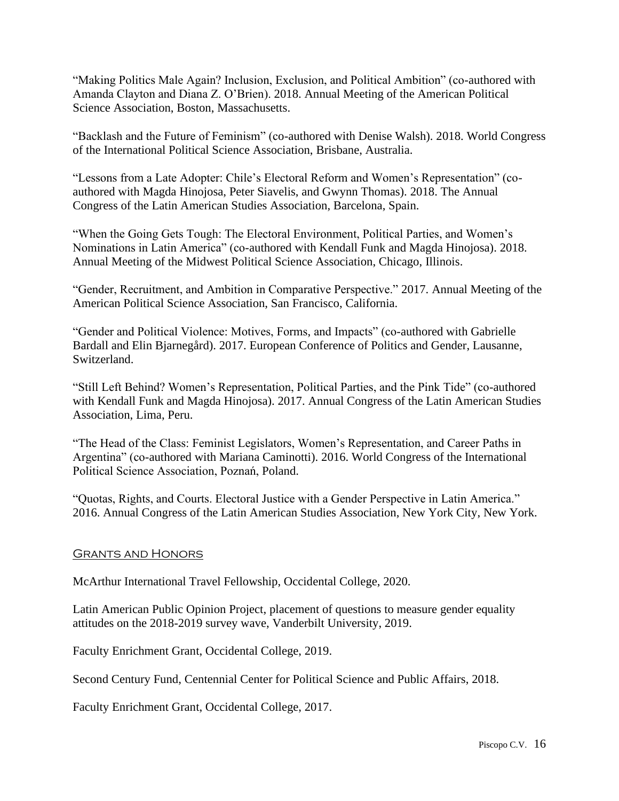"Making Politics Male Again? Inclusion, Exclusion, and Political Ambition" (co-authored with Amanda Clayton and Diana Z. O'Brien). 2018. Annual Meeting of the American Political Science Association, Boston, Massachusetts.

"Backlash and the Future of Feminism" (co-authored with Denise Walsh). 2018. World Congress of the International Political Science Association, Brisbane, Australia.

"Lessons from a Late Adopter: Chile's Electoral Reform and Women's Representation" (coauthored with Magda Hinojosa, Peter Siavelis, and Gwynn Thomas). 2018. The Annual Congress of the Latin American Studies Association, Barcelona, Spain.

"When the Going Gets Tough: The Electoral Environment, Political Parties, and Women's Nominations in Latin America" (co-authored with Kendall Funk and Magda Hinojosa). 2018. Annual Meeting of the Midwest Political Science Association, Chicago, Illinois.

"Gender, Recruitment, and Ambition in Comparative Perspective." 2017. Annual Meeting of the American Political Science Association, San Francisco, California.

"Gender and Political Violence: Motives, Forms, and Impacts" (co-authored with Gabrielle Bardall and Elin Bjarnegård). 2017. European Conference of Politics and Gender, Lausanne, Switzerland.

"Still Left Behind? Women's Representation, Political Parties, and the Pink Tide" (co-authored with Kendall Funk and Magda Hinojosa). 2017. Annual Congress of the Latin American Studies Association, Lima, Peru.

"The Head of the Class: Feminist Legislators, Women's Representation, and Career Paths in Argentina" (co-authored with Mariana Caminotti). 2016. World Congress of the International Political Science Association, Poznań, Poland.

"Quotas, Rights, and Courts. Electoral Justice with a Gender Perspective in Latin America." 2016. Annual Congress of the Latin American Studies Association, New York City, New York.

## Grants and Honors

McArthur International Travel Fellowship, Occidental College, 2020.

Latin American Public Opinion Project, placement of questions to measure gender equality attitudes on the 2018-2019 survey wave, Vanderbilt University, 2019.

Faculty Enrichment Grant, Occidental College, 2019.

Second Century Fund, Centennial Center for Political Science and Public Affairs, 2018.

Faculty Enrichment Grant, Occidental College, 2017.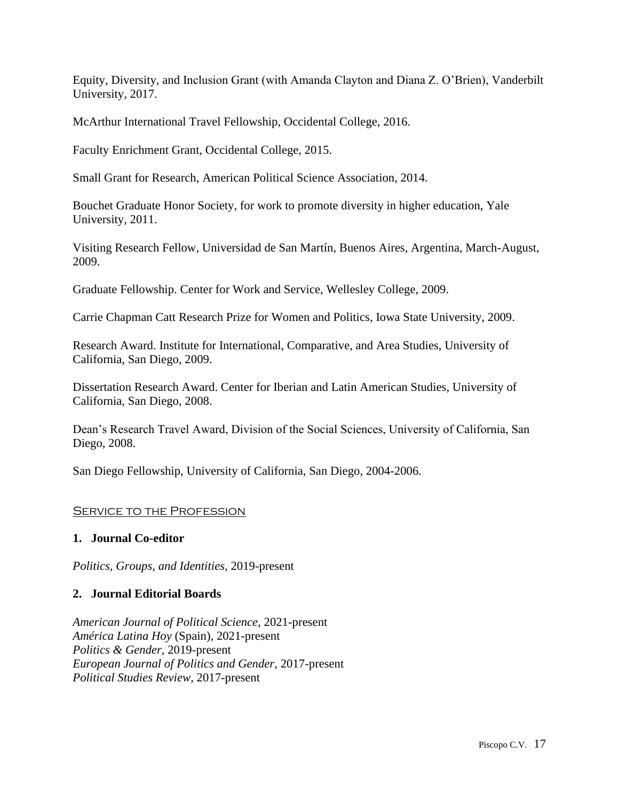Equity, Diversity, and Inclusion Grant (with Amanda Clayton and Diana Z. O'Brien), Vanderbilt University, 2017.

McArthur International Travel Fellowship, Occidental College, 2016.

Faculty Enrichment Grant, Occidental College, 2015.

Small Grant for Research, American Political Science Association, 2014.

Bouchet Graduate Honor Society, for work to promote diversity in higher education, Yale University, 2011.

Visiting Research Fellow, Universidad de San Martín, Buenos Aires, Argentina, March-August, 2009.

Graduate Fellowship. Center for Work and Service, Wellesley College, 2009.

Carrie Chapman Catt Research Prize for Women and Politics, Iowa State University, 2009.

Research Award. Institute for International, Comparative, and Area Studies, University of California, San Diego, 2009.

Dissertation Research Award. Center for Iberian and Latin American Studies, University of California, San Diego, 2008.

Dean's Research Travel Award, Division of the Social Sciences, University of California, San Diego, 2008.

San Diego Fellowship, University of California, San Diego, 2004-2006.

## **SERVICE TO THE PROFESSION**

## **1. Journal Co-editor**

*Politics, Groups, and Identities,* 2019-present

## **2. Journal Editorial Boards**

*American Journal of Political Science,* 2021-present *América Latina Hoy* (Spain)*,* 2021-present *Politics & Gender,* 2019*-*present *European Journal of Politics and Gender,* 2017-present *Political Studies Review,* 2017-present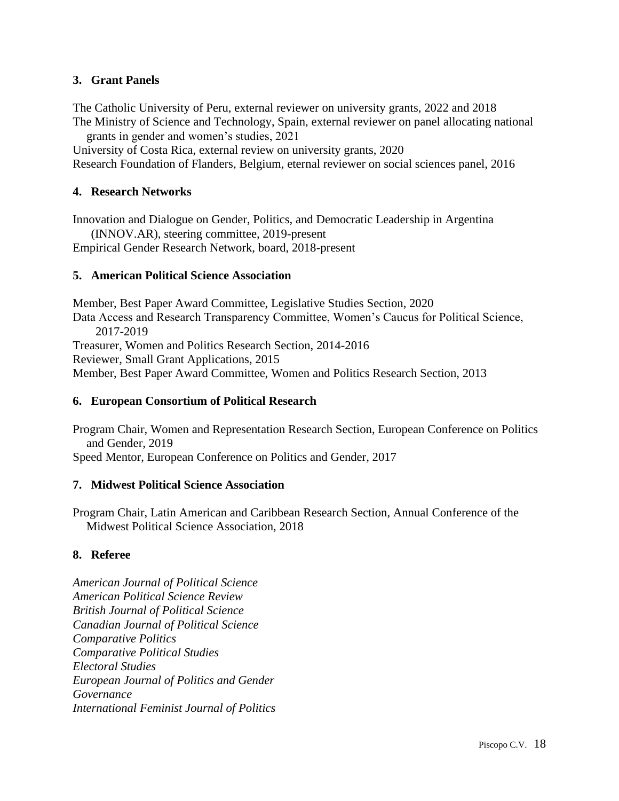## **3. Grant Panels**

The Catholic University of Peru, external reviewer on university grants, 2022 and 2018 The Ministry of Science and Technology, Spain, external reviewer on panel allocating national

grants in gender and women's studies, 2021 University of Costa Rica, external review on university grants, 2020 Research Foundation of Flanders, Belgium, eternal reviewer on social sciences panel, 2016

## **4. Research Networks**

Innovation and Dialogue on Gender, Politics, and Democratic Leadership in Argentina (INNOV.AR), steering committee, 2019-present

Empirical Gender Research Network, board, 2018-present

## **5. American Political Science Association**

Member, Best Paper Award Committee, Legislative Studies Section, 2020 Data Access and Research Transparency Committee, Women's Caucus for Political Science, 2017-2019 Treasurer, Women and Politics Research Section, 2014-2016 Reviewer, Small Grant Applications, 2015 Member, Best Paper Award Committee, Women and Politics Research Section, 2013

## **6. European Consortium of Political Research**

Program Chair, Women and Representation Research Section, European Conference on Politics and Gender, 2019

Speed Mentor, European Conference on Politics and Gender, 2017

## **7. Midwest Political Science Association**

Program Chair, Latin American and Caribbean Research Section, Annual Conference of the Midwest Political Science Association, 2018

## **8. Referee**

*American Journal of Political Science American Political Science Review British Journal of Political Science Canadian Journal of Political Science Comparative Politics Comparative Political Studies Electoral Studies European Journal of Politics and Gender Governance International Feminist Journal of Politics*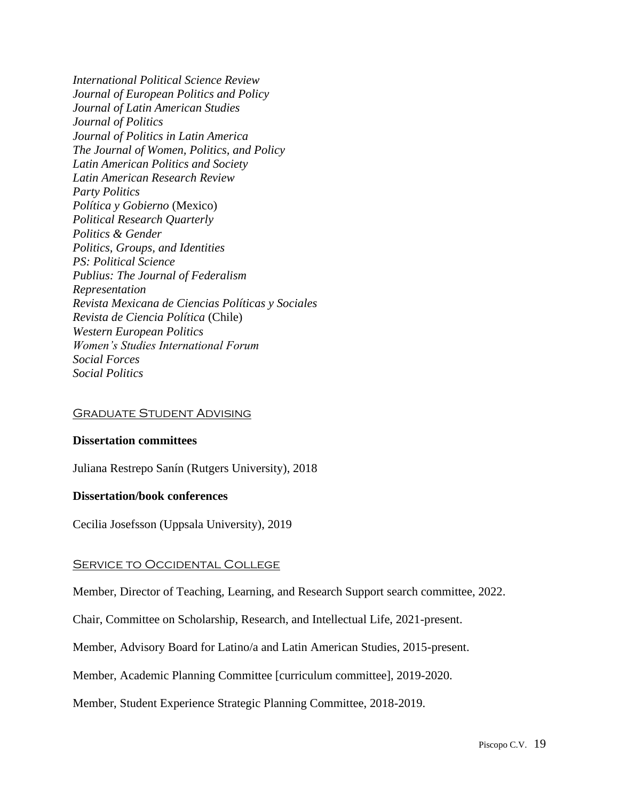*International Political Science Review Journal of European Politics and Policy Journal of Latin American Studies Journal of Politics Journal of Politics in Latin America The Journal of Women, Politics, and Policy Latin American Politics and Society Latin American Research Review Party Politics Política y Gobierno* (Mexico) *Political Research Quarterly Politics & Gender Politics, Groups, and Identities PS: Political Science Publius: The Journal of Federalism Representation Revista Mexicana de Ciencias Políticas y Sociales Revista de Ciencia Política* (Chile) *Western European Politics Women's Studies International Forum Social Forces Social Politics* 

#### Graduate Student Advising

#### **Dissertation committees**

Juliana Restrepo Sanín (Rutgers University), 2018

#### **Dissertation/book conferences**

Cecilia Josefsson (Uppsala University), 2019

#### SERVICE TO OCCIDENTAL COLLEGE

Member, Director of Teaching, Learning, and Research Support search committee, 2022.

Chair, Committee on Scholarship, Research, and Intellectual Life, 2021-present.

Member, Advisory Board for Latino/a and Latin American Studies, 2015-present.

Member, Academic Planning Committee [curriculum committee], 2019-2020.

Member, Student Experience Strategic Planning Committee, 2018-2019.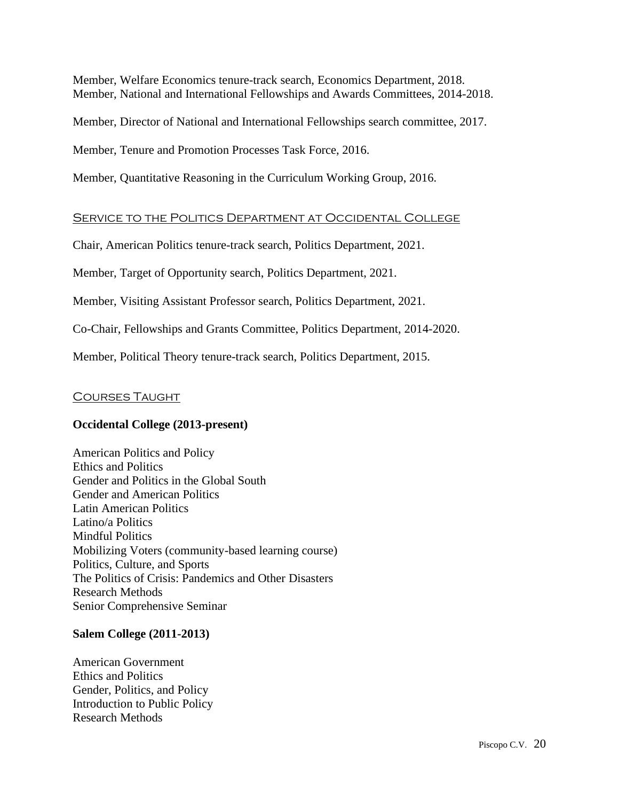Member, Welfare Economics tenure-track search, Economics Department, 2018. Member, National and International Fellowships and Awards Committees, 2014-2018.

Member, Director of National and International Fellowships search committee, 2017.

Member, Tenure and Promotion Processes Task Force, 2016.

Member, Quantitative Reasoning in the Curriculum Working Group, 2016.

### Service to the Politics Department at Occidental College

Chair, American Politics tenure-track search, Politics Department, 2021.

Member, Target of Opportunity search, Politics Department, 2021.

Member, Visiting Assistant Professor search, Politics Department, 2021.

Co-Chair, Fellowships and Grants Committee, Politics Department, 2014-2020.

Member, Political Theory tenure-track search, Politics Department, 2015.

### Courses Taught

#### **Occidental College (2013-present)**

American Politics and Policy Ethics and Politics Gender and Politics in the Global South Gender and American Politics Latin American Politics Latino/a Politics Mindful Politics Mobilizing Voters (community-based learning course) Politics, Culture, and Sports The Politics of Crisis: Pandemics and Other Disasters Research Methods Senior Comprehensive Seminar

#### **Salem College (2011-2013)**

American Government Ethics and Politics Gender, Politics, and Policy Introduction to Public Policy Research Methods